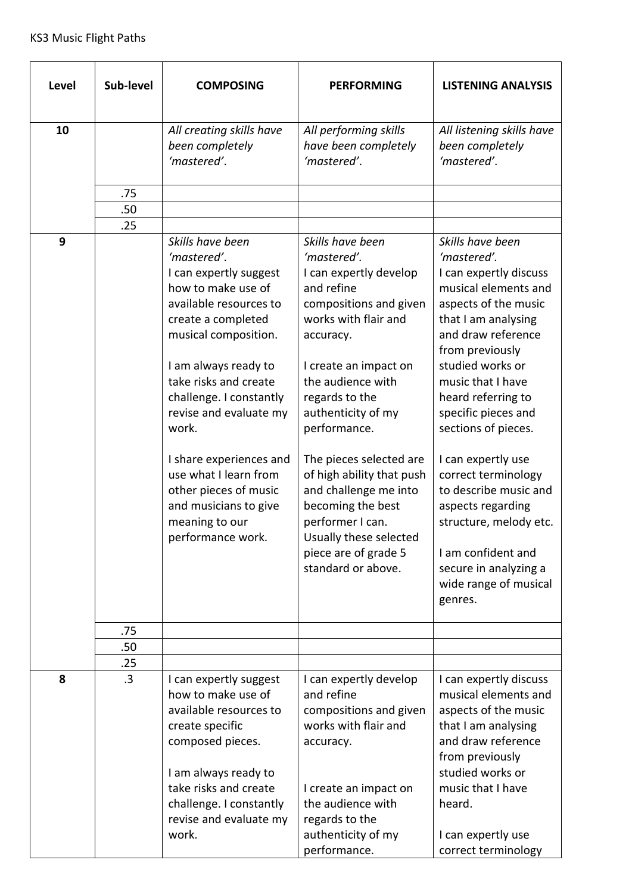| Level | Sub-level | <b>COMPOSING</b>                                                                                                                                                                                                                                                                                                                                                                                                    | <b>PERFORMING</b>                                                                                                                                                                                                                                                                                                                                                                                                                              | <b>LISTENING ANALYSIS</b>                                                                                                                                                                                                                                                                                                                                                                                                                                                                      |
|-------|-----------|---------------------------------------------------------------------------------------------------------------------------------------------------------------------------------------------------------------------------------------------------------------------------------------------------------------------------------------------------------------------------------------------------------------------|------------------------------------------------------------------------------------------------------------------------------------------------------------------------------------------------------------------------------------------------------------------------------------------------------------------------------------------------------------------------------------------------------------------------------------------------|------------------------------------------------------------------------------------------------------------------------------------------------------------------------------------------------------------------------------------------------------------------------------------------------------------------------------------------------------------------------------------------------------------------------------------------------------------------------------------------------|
| 10    |           | All creating skills have<br>been completely<br>'mastered'.                                                                                                                                                                                                                                                                                                                                                          | All performing skills<br>have been completely<br>'mastered'.                                                                                                                                                                                                                                                                                                                                                                                   | All listening skills have<br>been completely<br>'mastered'.                                                                                                                                                                                                                                                                                                                                                                                                                                    |
|       | .75       |                                                                                                                                                                                                                                                                                                                                                                                                                     |                                                                                                                                                                                                                                                                                                                                                                                                                                                |                                                                                                                                                                                                                                                                                                                                                                                                                                                                                                |
|       | .50       |                                                                                                                                                                                                                                                                                                                                                                                                                     |                                                                                                                                                                                                                                                                                                                                                                                                                                                |                                                                                                                                                                                                                                                                                                                                                                                                                                                                                                |
|       | .25       |                                                                                                                                                                                                                                                                                                                                                                                                                     |                                                                                                                                                                                                                                                                                                                                                                                                                                                |                                                                                                                                                                                                                                                                                                                                                                                                                                                                                                |
| 9     |           | Skills have been<br>'mastered'.<br>I can expertly suggest<br>how to make use of<br>available resources to<br>create a completed<br>musical composition.<br>I am always ready to<br>take risks and create<br>challenge. I constantly<br>revise and evaluate my<br>work.<br>I share experiences and<br>use what I learn from<br>other pieces of music<br>and musicians to give<br>meaning to our<br>performance work. | Skills have been<br>'mastered'.<br>I can expertly develop<br>and refine<br>compositions and given<br>works with flair and<br>accuracy.<br>I create an impact on<br>the audience with<br>regards to the<br>authenticity of my<br>performance.<br>The pieces selected are<br>of high ability that push<br>and challenge me into<br>becoming the best<br>performer I can.<br>Usually these selected<br>piece are of grade 5<br>standard or above. | Skills have been<br>'mastered'.<br>I can expertly discuss<br>musical elements and<br>aspects of the music<br>that I am analysing<br>and draw reference<br>from previously<br>studied works or<br>music that I have<br>heard referring to<br>specific pieces and<br>sections of pieces.<br>I can expertly use<br>correct terminology<br>to describe music and<br>aspects regarding<br>structure, melody etc.<br>I am confident and<br>secure in analyzing a<br>wide range of musical<br>genres. |
|       | .75       |                                                                                                                                                                                                                                                                                                                                                                                                                     |                                                                                                                                                                                                                                                                                                                                                                                                                                                |                                                                                                                                                                                                                                                                                                                                                                                                                                                                                                |
|       | .50       |                                                                                                                                                                                                                                                                                                                                                                                                                     |                                                                                                                                                                                                                                                                                                                                                                                                                                                |                                                                                                                                                                                                                                                                                                                                                                                                                                                                                                |
|       | .25       |                                                                                                                                                                                                                                                                                                                                                                                                                     |                                                                                                                                                                                                                                                                                                                                                                                                                                                |                                                                                                                                                                                                                                                                                                                                                                                                                                                                                                |
| 8     | .3        | I can expertly suggest<br>how to make use of<br>available resources to<br>create specific<br>composed pieces.<br>I am always ready to                                                                                                                                                                                                                                                                               | I can expertly develop<br>and refine<br>compositions and given<br>works with flair and<br>accuracy.                                                                                                                                                                                                                                                                                                                                            | I can expertly discuss<br>musical elements and<br>aspects of the music<br>that I am analysing<br>and draw reference<br>from previously<br>studied works or                                                                                                                                                                                                                                                                                                                                     |
|       |           | take risks and create<br>challenge. I constantly<br>revise and evaluate my<br>work.                                                                                                                                                                                                                                                                                                                                 | I create an impact on<br>the audience with<br>regards to the<br>authenticity of my<br>performance.                                                                                                                                                                                                                                                                                                                                             | music that I have<br>heard.<br>I can expertly use<br>correct terminology                                                                                                                                                                                                                                                                                                                                                                                                                       |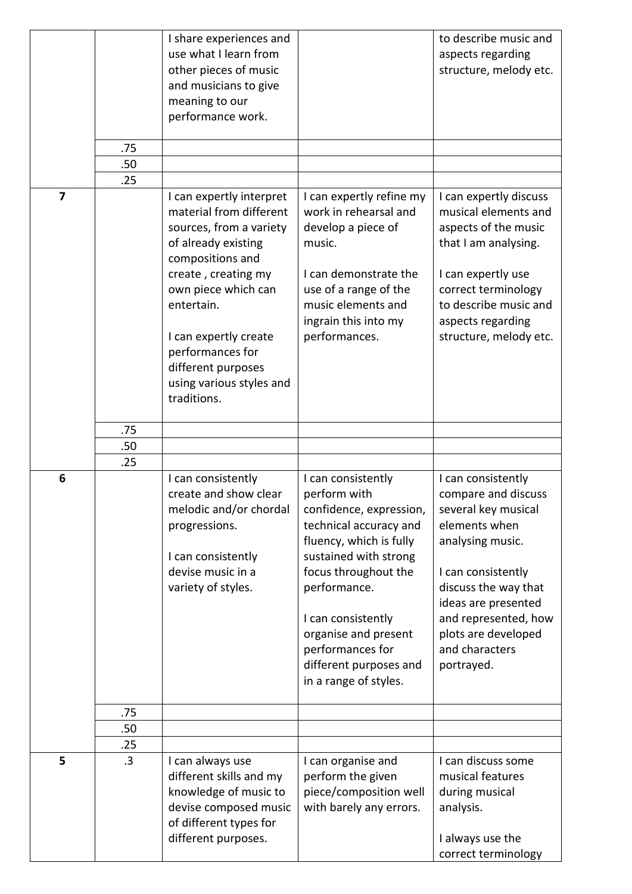|                         | .75<br>.50<br>.25 | I share experiences and<br>use what I learn from<br>other pieces of music<br>and musicians to give<br>meaning to our<br>performance work.                                                                                                                               |                                                                                                                                                                                                                                                                                                          | to describe music and<br>aspects regarding<br>structure, melody etc.                                                                                                                                                                                      |
|-------------------------|-------------------|-------------------------------------------------------------------------------------------------------------------------------------------------------------------------------------------------------------------------------------------------------------------------|----------------------------------------------------------------------------------------------------------------------------------------------------------------------------------------------------------------------------------------------------------------------------------------------------------|-----------------------------------------------------------------------------------------------------------------------------------------------------------------------------------------------------------------------------------------------------------|
| $\overline{\mathbf{z}}$ |                   | I can expertly interpret                                                                                                                                                                                                                                                | I can expertly refine my                                                                                                                                                                                                                                                                                 | I can expertly discuss                                                                                                                                                                                                                                    |
|                         |                   | material from different<br>sources, from a variety<br>of already existing<br>compositions and<br>create, creating my<br>own piece which can<br>entertain.<br>I can expertly create<br>performances for<br>different purposes<br>using various styles and<br>traditions. | work in rehearsal and<br>develop a piece of<br>music.<br>I can demonstrate the<br>use of a range of the<br>music elements and<br>ingrain this into my<br>performances.                                                                                                                                   | musical elements and<br>aspects of the music<br>that I am analysing.<br>I can expertly use<br>correct terminology<br>to describe music and<br>aspects regarding<br>structure, melody etc.                                                                 |
|                         | .75               |                                                                                                                                                                                                                                                                         |                                                                                                                                                                                                                                                                                                          |                                                                                                                                                                                                                                                           |
|                         | .50               |                                                                                                                                                                                                                                                                         |                                                                                                                                                                                                                                                                                                          |                                                                                                                                                                                                                                                           |
|                         | .25               |                                                                                                                                                                                                                                                                         |                                                                                                                                                                                                                                                                                                          |                                                                                                                                                                                                                                                           |
| 6                       |                   | I can consistently<br>create and show clear<br>melodic and/or chordal<br>progressions.<br>I can consistently<br>devise music in a<br>variety of styles.                                                                                                                 | I can consistently<br>perform with<br>confidence, expression,<br>technical accuracy and<br>fluency, which is fully<br>sustained with strong<br>focus throughout the<br>performance.<br>I can consistently<br>organise and present<br>performances for<br>different purposes and<br>in a range of styles. | I can consistently<br>compare and discuss<br>several key musical<br>elements when<br>analysing music.<br>I can consistently<br>discuss the way that<br>ideas are presented<br>and represented, how<br>plots are developed<br>and characters<br>portrayed. |
|                         | .75               |                                                                                                                                                                                                                                                                         |                                                                                                                                                                                                                                                                                                          |                                                                                                                                                                                                                                                           |
|                         | .50<br>.25        |                                                                                                                                                                                                                                                                         |                                                                                                                                                                                                                                                                                                          |                                                                                                                                                                                                                                                           |
| 5                       | .3                | I can always use<br>different skills and my<br>knowledge of music to<br>devise composed music<br>of different types for<br>different purposes.                                                                                                                          | I can organise and<br>perform the given<br>piece/composition well<br>with barely any errors.                                                                                                                                                                                                             | I can discuss some<br>musical features<br>during musical<br>analysis.<br>I always use the<br>correct terminology                                                                                                                                          |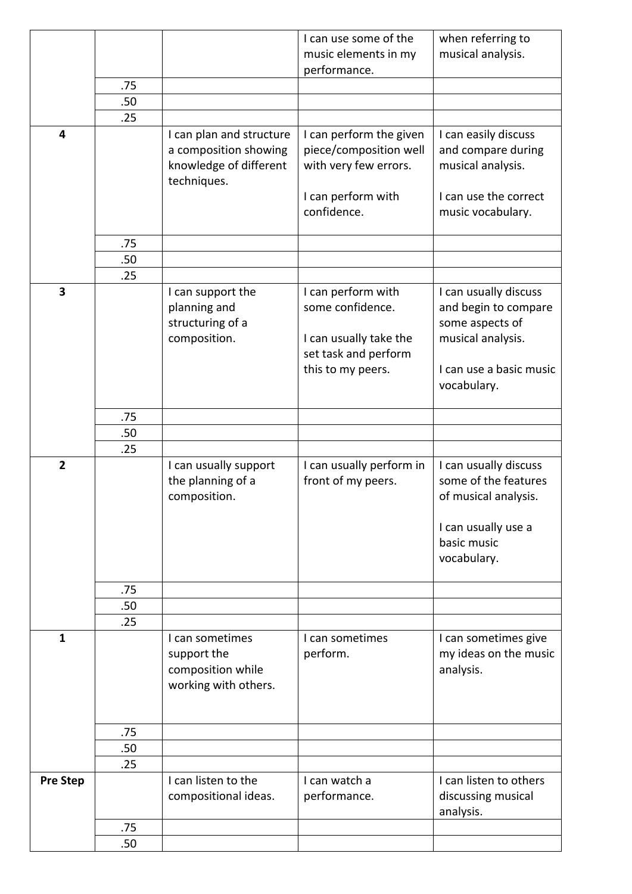|                         |     |                                            | I can use some of the                          | when referring to                             |
|-------------------------|-----|--------------------------------------------|------------------------------------------------|-----------------------------------------------|
|                         |     |                                            | music elements in my                           | musical analysis.                             |
|                         |     |                                            | performance.                                   |                                               |
|                         | .75 |                                            |                                                |                                               |
|                         | .50 |                                            |                                                |                                               |
|                         | .25 |                                            |                                                |                                               |
| $\overline{\mathbf{4}}$ |     | I can plan and structure                   | I can perform the given                        | I can easily discuss                          |
|                         |     | a composition showing                      | piece/composition well                         | and compare during                            |
|                         |     | knowledge of different                     | with very few errors.                          | musical analysis.                             |
|                         |     | techniques.                                |                                                |                                               |
|                         |     |                                            | I can perform with<br>confidence.              | I can use the correct                         |
|                         |     |                                            |                                                | music vocabulary.                             |
|                         | .75 |                                            |                                                |                                               |
|                         | .50 |                                            |                                                |                                               |
|                         | .25 |                                            |                                                |                                               |
| $\overline{\mathbf{3}}$ |     | I can support the                          | I can perform with                             | I can usually discuss                         |
|                         |     | planning and                               | some confidence.                               | and begin to compare                          |
|                         |     | structuring of a                           |                                                | some aspects of                               |
|                         |     | composition.                               | I can usually take the                         | musical analysis.                             |
|                         |     |                                            | set task and perform                           |                                               |
|                         |     |                                            | this to my peers.                              | I can use a basic music                       |
|                         |     |                                            |                                                | vocabulary.                                   |
|                         |     |                                            |                                                |                                               |
|                         | .75 |                                            |                                                |                                               |
|                         | .50 |                                            |                                                |                                               |
| $\overline{2}$          | .25 |                                            |                                                |                                               |
|                         |     | I can usually support<br>the planning of a | I can usually perform in<br>front of my peers. | I can usually discuss<br>some of the features |
|                         |     | composition.                               |                                                | of musical analysis.                          |
|                         |     |                                            |                                                |                                               |
|                         |     |                                            |                                                | I can usually use a                           |
|                         |     |                                            |                                                | basic music                                   |
|                         |     |                                            |                                                | vocabulary.                                   |
|                         |     |                                            |                                                |                                               |
|                         | .75 |                                            |                                                |                                               |
|                         | .50 |                                            |                                                |                                               |
|                         | .25 |                                            |                                                |                                               |
| $\mathbf{1}$            |     | I can sometimes                            | I can sometimes                                | I can sometimes give                          |
|                         |     | support the                                | perform.                                       | my ideas on the music                         |
|                         |     | composition while                          |                                                | analysis.                                     |
|                         |     | working with others.                       |                                                |                                               |
|                         |     |                                            |                                                |                                               |
|                         | .75 |                                            |                                                |                                               |
|                         | .50 |                                            |                                                |                                               |
|                         | .25 |                                            |                                                |                                               |
| <b>Pre Step</b>         |     | I can listen to the                        | I can watch a                                  | I can listen to others                        |
|                         |     | compositional ideas.                       | performance.                                   | discussing musical                            |
|                         |     |                                            |                                                | analysis.                                     |
|                         | .75 |                                            |                                                |                                               |
|                         | .50 |                                            |                                                |                                               |